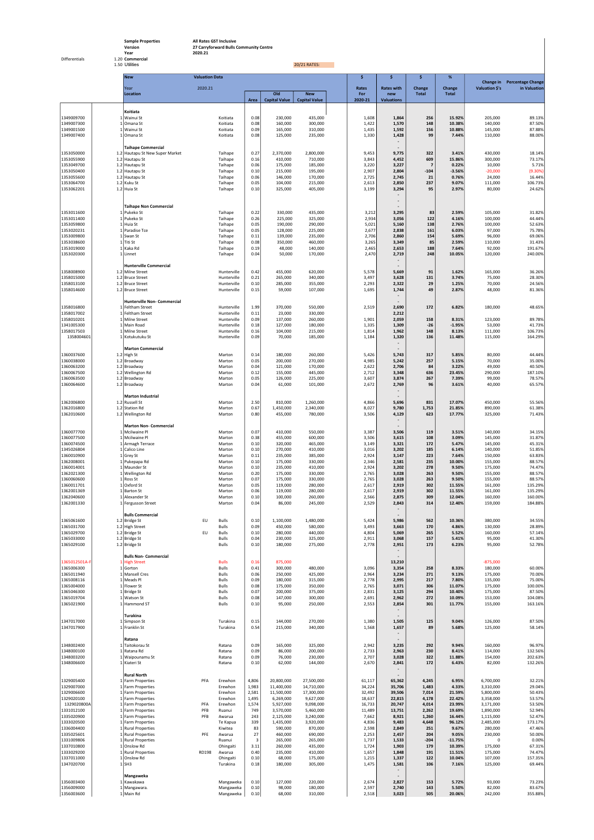Sample Properties **All Rates GST Inclusive** Version 27 Carryforward Bulls Community Centre Year 2020.21

Differentials 1.20 Commercial

## 1.50 Utilities 20/21 RATES:

|                             | <b>New</b><br><b>Valuation Data</b>                          |            |                              |                |                             |                                    | \$<br>\$<br>\$.<br>% |                                   |                          |                     |                        |                                             |
|-----------------------------|--------------------------------------------------------------|------------|------------------------------|----------------|-----------------------------|------------------------------------|----------------------|-----------------------------------|--------------------------|---------------------|------------------------|---------------------------------------------|
|                             | Year                                                         | 2020.21    |                              |                |                             |                                    | Rates                | <b>Rates with</b>                 | Change                   | Change              | Valuation \$'s         | Change in Percentage Change<br>in Valuation |
|                             | Location                                                     |            |                              | Area           | Old<br><b>Capital Value</b> | <b>New</b><br><b>Capital Value</b> | For<br>2020-21       | new<br><b>Valuations</b>          | <b>Total</b>             | <b>Total</b>        |                        |                                             |
|                             |                                                              |            |                              |                |                             |                                    |                      |                                   |                          |                     |                        |                                             |
| 1349009700                  | Koitiata<br>1 Wainui St                                      |            | Koitiata                     | 0.08           | 230,000                     | 435,000                            | 1,608                | 1,864                             | 256                      | 15.92%              | 205,000                | 89.13%                                      |
| 1349007300                  | 1 Omana St                                                   |            | Koitiata                     | 0.08           | 160,000                     | 300,000                            | 1,422                | 1,570                             | 148                      | 10.38%              | 140,000                | 87.50%                                      |
| 1349001500<br>1349007400    | 1 Wainui St<br>1 Omana St                                    |            | Koitiata<br>Koitiata         | 0.09<br>0.08   | 165,000<br>125,000          | 310,000<br>235,000                 | 1,435<br>1,330       | 1,592<br>1,428                    | 156<br>99                | 10.88%<br>7.44%     | 145,000<br>110,000     | 87.88%<br>88.00%                            |
|                             |                                                              |            |                              |                |                             |                                    |                      |                                   |                          |                     |                        |                                             |
| 1353050000                  | <b>Taihape Commercial</b><br>1.2 Hautapu St New Super Market |            | Taihape                      | 0.27           | 2,370,000                   | 2,800,000                          | 9,453                | 9,775                             | 322                      | 3.41%               | 430,000                | 18.14%                                      |
| 1353055900                  | 1.2 Hautapu St                                               |            | Taihape                      | 0.16           | 410,000                     | 710,000                            | 3,843                | 4,452                             | 609                      | 15.86%              | 300,000                | 73.17%                                      |
| 1353049700<br>1353050400    | 1.2 Hautapu St<br>1.2 Hautapu St                             |            | Taihape<br>Taihape           | 0.06<br>0.10   | 175,000<br>215,000          | 185,000<br>195,000                 | 3,220<br>2,907       | 3,227<br>2,804                    | $\overline{7}$<br>$-104$ | 0.22%<br>$-3.56%$   | 10,000<br>$-20,000$    | 5.71%<br>$(9.30\%)$                         |
| 1353055600                  | 1.2 Hautapu St                                               |            | Taihape                      | 0.06           | 146,000                     | 170,000                            | 2,725                | 2,745                             | 21                       | 0.76%               | 24,000                 | 16.44%                                      |
| 1353064700<br>1353062201    | 1.2 Kuku St<br>1.2 Huia St                                   |            | Taihape<br>Taihape           | 0.05<br>0.10   | 104,000<br>325,000          | 215,000<br>405,000                 | 2,613<br>3,199       | 2,850<br>3,294                    | 237<br>95                | 9.07%<br>2.97%      | 111,000<br>80,000      | 106.73%<br>24.62%                           |
|                             |                                                              |            |                              |                |                             |                                    |                      |                                   |                          |                     |                        |                                             |
|                             |                                                              |            |                              |                |                             |                                    |                      | $\overline{\phantom{a}}$          |                          |                     |                        |                                             |
| 1353011600                  | <b>Taihape Non Commercial</b><br>1 Pukeko St                 |            | Taihape                      | 0.22           | 330,000                     | 435,000                            | 3,212                | 3,295                             | 83                       | 2.59%               | 105,000                | 31.82%                                      |
| 1353011400<br>1353059800    | 1 Pukeko St                                                  |            | Taihape                      | 0.26           | 225,000                     | 325,000                            | 2,934                | 3,056                             | 122<br>138               | 4.16%               | 100,000                | 44.44%                                      |
| 1353020231                  | 1 Huia St<br>1 Paradise Tce                                  |            | Taihape<br>Taihape           | 0.05<br>0.05   | 190,000<br>128,000          | 290,000<br>225,000                 | 5,021<br>2,677       | 5,160<br>2,838                    | 161                      | 2.76%<br>6.03%      | 100,000<br>97,000      | 52.63%<br>75.78%                            |
| 1353009800                  | 1 Swan St<br>$1$ Titi St                                     |            | Taihape                      | 0.11           | 139,000                     | 235,000                            | 2,706                | 2,860                             | 154<br>85                | 5.69%               | 96,000                 | 69.06%                                      |
| 1353038600<br>1353019000    | 1 Kaka Rd                                                    |            | Taihape<br>Taihape           | 0.08<br>0.19   | 350,000<br>48,000           | 460,000<br>140,000                 | 3,265<br>2,465       | 3,349<br>2,653                    | 188                      | 2.59%<br>7.64%      | 110,000<br>92,000      | 31.43%<br>191.67%                           |
| 1353020300                  | 1 Linnet                                                     |            | Taihape                      | 0.04           | 50,000                      | 170,000                            | 2,470                | 2,719                             | 248                      | 10.05%              | 120,000                | 240.00%                                     |
|                             | Hunterville Commercial                                       |            |                              |                |                             |                                    |                      |                                   |                          |                     |                        |                                             |
| 1358008900                  | 1.2 Milne Street                                             |            | Hunterville                  | 0.42           | 455,000                     | 620,000                            | 5,578                | 5,669                             | 91                       | 1.62%               | 165,000                | 36.26%                                      |
| 1358015000<br>1358013100    | 1.2 Bruce Street<br>1.2 Bruce Street                         |            | Hunterville<br>Hunterville   | 0.21<br>0.10   | 265,000<br>285,000          | 340,000<br>355,000                 | 3,497<br>2,293       | 3,628<br>2,322                    | 131<br>29                | 3.74%<br>1.25%      | 75,000<br>70,000       | 28.30%<br>24.56%                            |
| 1358014600                  | 1.2 Bruce Street                                             |            | Hunterville                  | 0.15           | 59,000                      | 107,000                            | 1,695                | 1,744                             | 49                       | 2.87%               | 48,000                 | 81.36%                                      |
|                             | Hunterville Non- Commercial                                  |            |                              |                |                             |                                    |                      |                                   |                          |                     |                        |                                             |
| 1358016800                  | 1 Feltham Street                                             |            | Hunterville                  | 1.99           | 370,000                     | 550,000                            | 2,519                | 2,690                             | 172                      | 6.82%               | 180,000                | 48.65%                                      |
| 1358017002<br>1358010201    | 1 Feltham Street<br>1 Milne Street                           |            | Hunterville<br>Hunterville   | 0.11<br>0.09   | 23,000<br>137,000           | 330,000<br>260,000                 | 1,901                | 2,212<br>2,059                    | 158                      | 8.31%               | 123,000                | 89.78%                                      |
| 1341005300                  | 1 Main Road                                                  |            | Hunterville                  | 0.18           | 127,000                     | 180,000                            | 1,335                | 1,309                             | $-26$                    | $-1.95%$            | 53,000                 | 41.73%                                      |
| 1358017503<br>1358004601    | 1 Milne Street<br>1 Kotukutuku St                            |            | Hunterville<br>Hunterville   | 0.16<br>0.09   | 104,000<br>70,000           | 215,000<br>185,000                 | 1,814<br>1,184       | 1,962<br>1,320                    | 148<br>136               | 8.13%<br>11.48%     | 111,000<br>115,000     | 106.73%<br>164.29%                          |
|                             |                                                              |            |                              |                |                             |                                    |                      |                                   |                          |                     |                        |                                             |
| 1360037600                  | Marton Commercial<br>$1.2$ High St                           |            | Marton                       | 0.14           | 180,000                     | 260,000                            | 5,426                | 5,743                             | 317                      | 5.85%               | 80,000                 | 44.44%                                      |
| 1360038000                  | 1.2 Broadway                                                 |            | Marton                       | 0.05           | 200,000                     | 270,000                            | 4,985                | 5,242                             | 257                      | 5.15%               | 70,000                 | 35.00%                                      |
| 1360063200<br>1360067500    | 1.2 Broadway<br>1.2 Wellington Rd                            |            | Marton<br>Marton             | 0.04<br>0.12   | 121,000<br>155,000          | 170,000<br>445,000                 | 2,622<br>2,712       | 2,706<br>3,348                    | 84<br>636                | 3.22%<br>23.45%     | 49,000<br>290,000      | 40.50%<br>187.10%                           |
| 1360063500                  | 1.2 Broadway                                                 |            | Marton                       | 0.05           | 126,000                     | 225,000                            | 3,607                | 3,874                             | 267                      | 7.39%               | 99,000                 | 78.57%                                      |
| 1360064600                  | 1.2 Broadway                                                 |            | Marton                       | 0.04           | 61,000                      | 101,000                            | 2,672                | 2,769                             | 96                       | 3.61%               | 40,000                 | 65.57%                                      |
|                             | <b>Marton Industrial</b>                                     |            |                              |                |                             |                                    |                      |                                   |                          |                     |                        |                                             |
| 1362006800<br>1362016800    | 1.2 Russell St<br>1.2 Station Rd                             |            | Marton<br>Marton             | 2.50<br>0.67   | 810,000<br>1,450,000        | 1,260,000<br>2,340,000             | 4,866<br>8,027       | 5,696<br>9,780                    | 831<br>1,753             | 17.07%<br>21.85%    | 450,000<br>890,000     | 55.56%<br>61.38%                            |
| 1362010600                  | 1.2 Wellington Rd                                            |            | Marton                       | 0.80           | 455,000                     | 780,000                            | 3,506                | 4,129                             | 623                      | 17.77%              | 325,000                | 71.43%                                      |
|                             | <b>Marton Non- Commercial</b>                                |            |                              |                |                             |                                    |                      |                                   |                          |                     |                        |                                             |
| 1360077700                  | 1 Mcilwaine Pl                                               |            | Marton                       | 0.07           | 410,000                     | 550,000                            | 3,387                | 3,506                             | 119                      | 3.51%               | 140,000                | 34.15%                                      |
| 1360077500<br>1360074500    | 1 Mcilwaine Pl<br>1 Armagh Terrace                           |            | Marton<br>Marton             | 0.38<br>0.10   | 455,000<br>320,000          | 600,000<br>465,000                 | 3,506<br>3,149       | 3,615<br>3,321                    | 108<br>172               | 3.09%<br>5.47%      | 145,000<br>145,000     | 31.87%<br>45.31%                            |
| 1345026804                  | 1 Calico Line                                                |            | Marton                       | 0.10           | 270,000                     | 410,000                            | 3,016                | 3,202                             | 185                      | 6.14%               | 140,000                | 51.85%                                      |
| 1360010900<br>1362008001    | 1 Grey St<br>1 Pukepapa Rd                                   |            | Marton<br>Marton             | 0.11<br>0.10   | 235,000<br>175,000          | 385,000<br>330,000                 | 2,924<br>2,346       | 3,147<br>2,581                    | 223<br>235               | 7.64%<br>10.00%     | 150,000<br>155,000     | 63.83%<br>88.57%                            |
| 1360014001                  | 1 Maunder St                                                 |            | Marton                       | 0.10           | 235,000                     | 410,000                            | 2,924                | 3,202                             | 278                      | 9.50%               | 175,000                | 74.47%                                      |
| 1362021300<br>1360060600    | 1 Wellington Rd<br>1 Ross St                                 |            | Marton<br>Marton             | 0.20<br>0.07   | 175,000<br>175,000          | 330,000<br>330,000                 | 2,765<br>2,765       | 3,028<br>3,028                    | 263<br>263               | 9.50%<br>9.50%      | 155,000<br>155,000     | 88.57%<br>88.57%                            |
| 1360011701                  | 1 Oxford St                                                  |            | Marton                       | 0.05           | 119,000                     | 280,000                            | 2,617                | 2,919                             | 302                      | 11.55%              | 161,000                | 135.29%                                     |
| 1362001369<br>1362040600    | 1 Barton St<br>1 Alexander St                                |            | Marton<br>Marton             | 0.06<br>0.10   | 119,000<br>100,000          | 280,000<br>260,000                 | 2,617<br>2,566       | 2,919<br>2,875                    | 302<br>309               | 11.55%<br>12.04%    | 161,000<br>160,000     | 135.29%<br>160.00%                          |
| 1362001330                  | 1 Fergusson Street                                           |            | Marton                       | 0.04           | 86,000                      | 245,000                            | 2,529                | 2,843                             | 314                      | 12.40%              | 159,000                | 184.88%                                     |
|                             | <b>Bulls Commercial</b>                                      |            |                              |                |                             |                                    |                      |                                   |                          |                     |                        |                                             |
| 1365061600                  | 1.2 Bridge St                                                | EU         | <b>Bulls</b>                 | 0.10           | 1,100,000                   | 1,480,000                          | 5,424                | 5,986                             | 562                      | 10.36%              | 380,000                | 34.55%                                      |
| 1365031700<br>1365029700    | 1.2 High Street<br>1.2 Bridge St                             | EU         | <b>Bulls</b><br><b>Bulls</b> | 0.09<br>0.10   | 450,000<br>280,000          | 580,000<br>440,000                 | 3,493<br>4,804       | 3,663<br>5,069                    | 170<br>265               | 4.86%<br>5.52%      | 130,000<br>160,000     | 28.89%<br>57.14%                            |
| 1365033000                  | 1.2 Bridge St                                                |            | <b>Bulls</b>                 | 0.04           | 230,000                     | 325,000                            | 2,911                | 3,068                             | 157                      | 5.41%               | 95,000                 | 41.30%                                      |
| 1365029100                  | 1.2 Bridge St                                                |            | <b>Bulls</b>                 | 0.10           | 180,000                     | 275,000                            | 2,778                | 2,951                             | 173                      | 6.23%               | 95,000                 | 52.78%                                      |
|                             | <b>Bulls Non- Commercial</b>                                 |            |                              |                |                             |                                    |                      |                                   |                          |                     |                        |                                             |
| 1365012501A-F<br>1365006300 | 1 High Street<br>1 Gorton                                    |            | <b>Bulls</b><br><b>Bulls</b> | 0.16<br>0.41   | 875,000<br>300,000          | 480,000                            | 3,096                | 13,210<br>3,354                   | 258                      | 8.33%               | -875,000<br>180,000    | 60.00%                                      |
| 1365011940                  | 1 Mansell Cres                                               |            | <b>Bulls</b>                 | 0.06           | 250,000                     | 425,000                            | 2,964                | 3,234                             | 271                      | 9.13%               | 175,000                | 70.00%                                      |
| 1365008116<br>1365004000    | 1 Meads Pl<br>1 Flower St                                    |            | <b>Bulls</b><br><b>Bulls</b> | 0.09<br>0.08   | 180,000<br>175,000          | 315,000<br>350,000                 | 2,778<br>2,765       | 2,995<br>3,071                    | 217<br>306               | 7.80%<br>11.07%     | 135,000<br>175,000     | 75.00%<br>100.00%                           |
| 1365046300                  | 1 Bridge St                                                  |            | <b>Bulls</b>                 | 0.07           | 200,000                     | 375,000                            | 2,831                | 3,125                             | 294                      | 10.40%              | 175,000                | 87.50%                                      |
| 1365019704<br>1365021900    | 1 Watson St<br>1 Hammond ST                                  |            | <b>Bulls</b><br><b>Bulls</b> | 0.08<br>0.10   | 147,000<br>95,000           | 300,000<br>250,000                 | 2,691<br>2,553       | 2,962<br>2,854                    | 272<br>301               | 10.09%<br>11.77%    | 153,000<br>155,000     | 104.08%<br>163.16%                          |
|                             |                                                              |            |                              |                |                             |                                    |                      |                                   |                          |                     |                        |                                             |
| 1347017000                  | Turakina<br>1 Simpson St                                     |            | Turakina                     | 0.15           | 144,000                     | 270,000                            | 1,380                | 1,505                             | 125                      | 9.04%               | 126,000                | 87.50%                                      |
| 1347017900                  | 1 Franklin St                                                |            | Turakina                     | 0.54           | 215,000                     | 340,000                            | 1,568                | 1,657                             | 89                       | 5.68%               | 125,000                | 58.14%                                      |
|                             | Ratana                                                       |            |                              |                |                             |                                    |                      |                                   |                          |                     |                        |                                             |
| 1348002400                  | 1 Taitokorau St                                              |            | Ratana                       | 0.09           | 165,000                     | 325,000                            | 2,942                | 3,235                             | 292                      | 9.94%               | 160,000                | 96.97%                                      |
| 1348000100<br>1348003200    | 1 Ratana Rd<br>1 Waipounamu St                               |            | Ratana<br>Ratana             | 0.09<br>0.09   | 86,000<br>76,000            | 200,000<br>230,000                 | 2,733<br>2,707       | 2,963<br>3,028                    | 230<br>322               | 8.41%<br>11.88%     | 114,000<br>154,000     | 132.56%<br>202.63%                          |
| 1348006600                  | 1 Kiateri St                                                 |            | Ratana                       | 0.10           | 62,000                      | 144,000                            | 2,670                | 2,841                             | 172                      | 6.43%               | 82,000                 | 132.26%                                     |
|                             | <b>Rural North</b>                                           |            |                              |                |                             |                                    |                      |                                   |                          |                     |                        |                                             |
| 1329005400                  | 1 Farm Properties                                            | PFA        | Erewhon                      | 4,806          | 20,800,000                  | 27,500,000                         | 61,117               | 65,362                            | 4,245                    | 6.95%               | 6,700,000              | 32.21%                                      |
| 1329007000<br>1329006600    | 1 Farm Properties<br>1 Farm Properties                       |            | Erewhon<br>Erewhon           | 1,983<br>2,581 | 11,400,000<br>11,500,000    | 14,710,000<br>17,300,000           | 34,224<br>32,492     | 35,706<br>39,506                  | 1,483<br>7,014           | 4.33%<br>21.59%     | 3,310,000<br>5,800,000 | 29.04%<br>50.43%                            |
| 1329020100                  | 1 Farm Properties                                            |            | Erewhon                      | 1,495          | 6,269,000                   | 9,627,000                          | 18,637               | 22,815                            | 4,178                    | 22.42%              | 3,358,000              | 53.57%                                      |
| 1329020800A<br>1331012100   | 1 Farm Properties<br>1 Farm Properties                       | PFA<br>PFB | Erewhon<br>Ruanui            | 1,574<br>749   | 5,927,000<br>3,570,000      | 9,098,000<br>5,460,000             | 16,733<br>11,489     | 20,747<br>13,751                  | 4,014<br>2,262           | 23.99%<br>19.69%    | 3,171,000<br>1,890,000 | 53.50%<br>52.94%                            |
| 1335020900                  | 1 Farm Properties                                            | PFB        | Awarua                       | 243            | 2,125,000                   | 3,240,000                          | 7,662                | 8,921                             | 1,260                    | 16.44%              | 1,115,000              | 52.47%                                      |
| 1333020500<br>1336004400    | 1 Farm Properties<br>1 Rural Properties                      |            | Te Kapua<br>Kiwitea          | 339<br>83      | 1,435,000<br>590,000        | 3,920,000<br>870,000               | 4,836<br>2,598       | 9,483<br>2,849                    | 4,648<br>251             | 96.12%<br>9.67%     | 2,485,000<br>280,000   | 173.17%<br>47.46%                           |
| 1335025601                  | 1 Rural Properties                                           | PFE        | Awarua                       | 27             | 460,000                     | 690,000                            | 2,253                | 2,457                             | 204                      | 9.05%               | 230,000                | 50.00%                                      |
| 1331009806<br>1337010800    | 1 Rural Properties<br>1 Onslow Rd                            |            | Ruanui<br>Ohingaiti          | 3<br>3.11      | 265,000<br>260,000          | 265,000<br>435,000                 | 1,737<br>1,724       | 1,533<br>1,903                    | $-204$<br>179            | $-11.75%$<br>10.39% | 0<br>175,000           | 0.00%<br>67.31%                             |
| 1333029200                  | 1 Rural Properties                                           | RD198      | Awarua                       | 0.40           | 235,000                     | 410,000                            | 1,657                | 1,848                             | 191                      | 11.51%              | 175,000                | 74.47%                                      |
| 1337011000<br>1347020700    | 1 Onslow Rd<br>$1$ SH3                                       |            | Ohingaiti<br>Turakina        | 0.10<br>0.18   | 68,000<br>180,000           | 175,000<br>305,000                 | 1,215<br>1,475       | 1,337<br>1,581                    | 122<br>106               | 10.04%<br>7.16%     | 107,000<br>125,000     | 157.35%<br>69.44%                           |
|                             |                                                              |            |                              |                |                             |                                    |                      |                                   |                          |                     |                        |                                             |
| 1356003400                  | Mangaweka<br>1 Kawakawa                                      |            | Mangaweka                    | 0.10           | 127,000                     | 220,000                            | 2,674                | $\overline{\phantom{a}}$<br>2,827 | 153                      | 5.72%               | 93,000                 | 73.23%                                      |
| 1356009000                  | 1 Mangawara.                                                 |            | Mangaweka                    | 0.10           | 98,000                      | 180,000                            | 2,597                | 2,740                             | 143                      | 5.50%               | 82,000                 | 83.67%                                      |
| 1356003600                  | 1 Main Rd                                                    |            | Mangaweka                    | 0.10           | 68,000                      | 310,000                            | 2,518                | 3,023                             | 505                      | 20.06%              | 242,000                | 355.88%                                     |